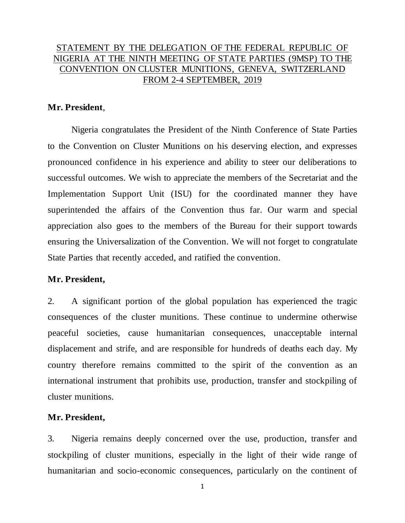# STATEMENT BY THE DELEGATION OF THE FEDERAL REPUBLIC OF NIGERIA AT THE NINTH MEETING OF STATE PARTIES (9MSP) TO THE CONVENTION ON CLUSTER MUNITIONS, GENEVA, SWITZERLAND FROM 2-4 SEPTEMBER, 2019

## **Mr. President**,

Nigeria congratulates the President of the Ninth Conference of State Parties to the Convention on Cluster Munitions on his deserving election, and expresses pronounced confidence in his experience and ability to steer our deliberations to successful outcomes. We wish to appreciate the members of the Secretariat and the Implementation Support Unit (ISU) for the coordinated manner they have superintended the affairs of the Convention thus far. Our warm and special appreciation also goes to the members of the Bureau for their support towards ensuring the Universalization of the Convention. We will not forget to congratulate State Parties that recently acceded, and ratified the convention.

## **Mr. President,**

2. A significant portion of the global population has experienced the tragic consequences of the cluster munitions. These continue to undermine otherwise peaceful societies, cause humanitarian consequences, unacceptable internal displacement and strife, and are responsible for hundreds of deaths each day. My country therefore remains committed to the spirit of the convention as an international instrument that prohibits use, production, transfer and stockpiling of cluster munitions.

### **Mr. President,**

3. Nigeria remains deeply concerned over the use, production, transfer and stockpiling of cluster munitions, especially in the light of their wide range of humanitarian and socio-economic consequences, particularly on the continent of